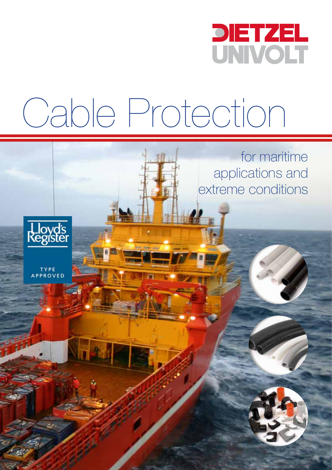

for maritime

applications and

extreme conditions

# Cable Protection



TYPE<br>APPROVED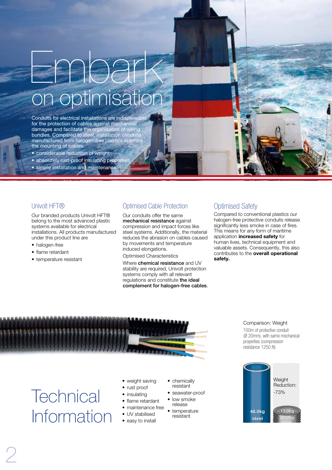## Embark on optimisation

Conduits for electrical installations are indispensable for the protection of cables against mechanical damages and facilitate the organisation of wiring bundles. Compared to steel, installation conduits manufactured from halogen-free plastics optimise the mounting of cables:

- considerable reduction of weight
- absolutely rust-proof insulating propertie • simple installation and maintenance

#### Univolt HFT®

Our branded products Univolt HFT® belong to the most advanced plastic systems available for electrical installations. All products manufactured under this product line are

- halogen-free
- flame retardant
- temperature resistant

#### Optimised Cable Protection

Our conduits offer the same mechanical resistance against compression and impact forces like steel systems. Additionally, the material reduces the abrasion on cables caused by movements and temperature induced elongations.

Optimised Characteristics

Where chemical resistance and UV stability are required, Univolt protection systems comply with all relevant regulations and constitute the ideal complement for halogen-free cables.

#### Optimised Safety

Compared to conventional plastics our halogen-free protective conduits release significantly less smoke in case of fires. This means for any form of maritime application increased safety for human lives, technical equipment and valuable assets. Consequently, this also contributes to the overall operational safety.



**Technical** Information

2

- weight saving
- rust proof
- **insulating**
- flame retardant
- maintenance free
- UV stabilised
- easy to install
- chemically resistant
	- seawater-proof
- low smoke release
- temperature resistant



Comparison: Weight 100m of protective conduit (Ø 20mm), with same mechanical properties (compression resistance 1250 N)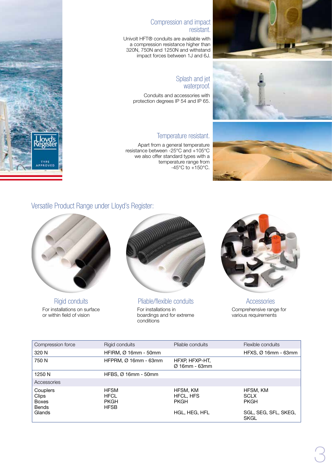

#### Compression and impact resistant.

Univolt HFT® conduits are available with a compression resistance higher than 320N, 750N and 1250N and withstand impact forces between 1J and 6J.

#### Splash and jet waterproof.

Conduits and accessories with protection degrees IP 54 and IP 65.

#### Temperature resistant.

Apart from a general temperature resistance between -25°C and +105°C we also offer standard types with a temperature range from  $-45^{\circ}$ C to  $+150^{\circ}$ C.



### Versatile Product Range under Lloyd's Register:



For installations on surface or within field of vision



For installations in boardings and for extreme conditions Rigid conduits Pliable/flexible conduits Accessories



Comprehensive range for various requirements

| Compression force                                 | Rigid conduits                                           | Pliable conduits                            | Flexible conduits                      |
|---------------------------------------------------|----------------------------------------------------------|---------------------------------------------|----------------------------------------|
| 320 N                                             | HFIRM, $Ø$ 16mm - 50mm                                   |                                             | $HFXS, Ø 16mm - 63mm$                  |
| 750 N                                             | HFPRM, Ø 16mm - 63mm                                     | HFXP, HFXP-HT,<br>$\varnothing$ 16mm - 63mm |                                        |
| 1250 N                                            | HFBS, $Ø$ 16mm - 50mm                                    |                                             |                                        |
| Accessories                                       |                                                          |                                             |                                        |
| Couplers<br>Clips<br><b>Boxes</b><br><b>Bends</b> | <b>HFSM</b><br><b>HFCL</b><br><b>PKGH</b><br><b>HFSB</b> | HFSM, KM<br><b>HFCL, HFS</b><br><b>PKGH</b> | HFSM, KM<br><b>SCLX</b><br><b>PKGH</b> |
| Glands                                            |                                                          | HGL, HEG, HFL                               | SGL, SEG, SFL, SKEG,<br><b>SKGL</b>    |